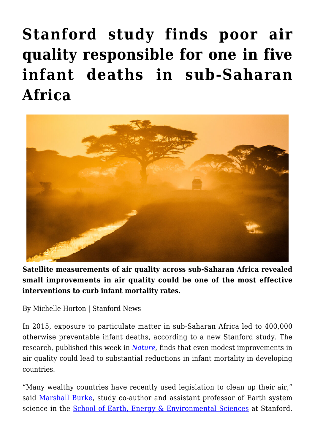## **[Stanford study finds poor air](https://gpsnews.ucsd.edu/stanford-study-finds-poor-air-quality-responsible-for-one-in-five-infant-deaths-in-sub-saharan-africa/) [quality responsible for one in five](https://gpsnews.ucsd.edu/stanford-study-finds-poor-air-quality-responsible-for-one-in-five-infant-deaths-in-sub-saharan-africa/) [infant deaths in sub‑Saharan](https://gpsnews.ucsd.edu/stanford-study-finds-poor-air-quality-responsible-for-one-in-five-infant-deaths-in-sub-saharan-africa/) [Africa](https://gpsnews.ucsd.edu/stanford-study-finds-poor-air-quality-responsible-for-one-in-five-infant-deaths-in-sub-saharan-africa/)**



**Satellite measurements of air quality across sub-Saharan Africa revealed small improvements in air quality could be one of the most effective interventions to curb infant mortality rates.**

By Michelle Horton | Stanford News

In 2015, exposure to particulate matter in sub-Saharan Africa led to 400,000 otherwise preventable infant deaths, according to a new Stanford study. The research, published this week in *[Nature](http://dx.doi.org/10.1038/s41586-018-0263-3)*, finds that even modest improvements in air quality could lead to substantial reductions in infant mortality in developing countries.

"Many wealthy countries have recently used legislation to clean up their air," said [Marshall Burke,](https://profiles.stanford.edu/marshall-burke) study co-author and assistant professor of Earth system science in the [School of Earth, Energy & Environmental Sciences](https://earth.stanford.edu/) at Stanford.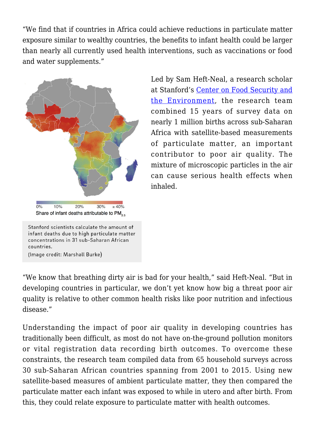"We find that if countries in Africa could achieve reductions in particulate matter exposure similar to wealthy countries, the benefits to infant health could be larger than nearly all currently used health interventions, such as vaccinations or food and water supplements."



Led by Sam Heft-Neal, a research scholar at Stanford's [Center on Food Security and](https://fse.fsi.stanford.edu/) [the Environment](https://fse.fsi.stanford.edu/), the research team combined 15 years of survey data on nearly 1 million births across sub-Saharan Africa with satellite-based measurements of particulate matter, an important contributor to poor air quality. The mixture of microscopic particles in the air can cause serious health effects when inhaled.

Stanford scientists calculate the amount of infant deaths due to high particulate matter concentrations in 31 sub-Saharan African countries. (Image credit: Marshall Burke)

"We know that breathing dirty air is bad for your health," said Heft-Neal. "But in developing countries in particular, we don't yet know how big a threat poor air quality is relative to other common health risks like poor nutrition and infectious disease."

Understanding the impact of poor air quality in developing countries has traditionally been difficult, as most do not have on-the-ground pollution monitors or vital registration data recording birth outcomes. To overcome these constraints, the research team compiled data from 65 household surveys across 30 sub-Saharan African countries spanning from 2001 to 2015. Using new satellite-based measures of ambient particulate matter, they then compared the particulate matter each infant was exposed to while in utero and after birth. From this, they could relate exposure to particulate matter with health outcomes.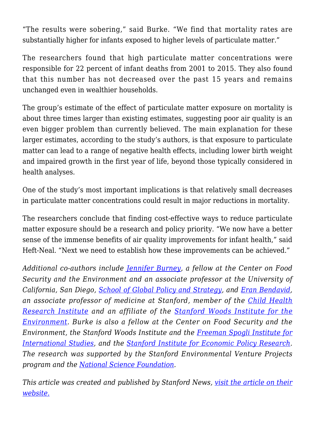"The results were sobering," said Burke. "We find that mortality rates are substantially higher for infants exposed to higher levels of particulate matter."

The researchers found that high particulate matter concentrations were responsible for 22 percent of infant deaths from 2001 to 2015. They also found that this number has not decreased over the past 15 years and remains unchanged even in wealthier households.

The group's estimate of the effect of particulate matter exposure on mortality is about three times larger than existing estimates, suggesting poor air quality is an even bigger problem than currently believed. The main explanation for these larger estimates, according to the study's authors, is that exposure to particulate matter can lead to a range of negative health effects, including lower birth weight and impaired growth in the first year of life, beyond those typically considered in health analyses.

One of the study's most important implications is that relatively small decreases in particulate matter concentrations could result in major reductions in mortality.

The researchers conclude that finding cost-effective ways to reduce particulate matter exposure should be a research and policy priority. "We now have a better sense of the immense benefits of air quality improvements for infant health," said Heft-Neal. "Next we need to establish how these improvements can be achieved."

*Additional co-authors include [Jennifer Burney](https://gps.ucsd.edu/faculty-directory/jennifer-burney.html), a fellow at the Center on Food Security and the Environment and an associate professor at the University of California, San Diego, [School of Global Policy and Strategy](https://gps.ucsd.edu/index.html), and [Eran Bendavid,](https://profiles.stanford.edu/eran-bendavid) an associate professor of medicine at Stanford, member of the [Child Health](http://med.stanford.edu/chri.html) [Research Institute](http://med.stanford.edu/chri.html) and an affiliate of the [Stanford Woods Institute for the](https://woods.stanford.edu/) [Environment](https://woods.stanford.edu/). Burke is also a fellow at the Center on Food Security and the Environment, the Stanford Woods Institute and the [Freeman Spogli Institute for](http://fsi.stanford.edu/) [International Studies](http://fsi.stanford.edu/)*, *and the [Stanford Institute for Economic Policy Research.](https://siepr.stanford.edu/) The research was supported by the Stanford Environmental Venture Projects program and the [National Science Foundation](https://www.nsf.gov/).*

*This article was created and published by Stanford News, [visit the article on their](https://news.stanford.edu/2018/06/27/air-pollution-major-cause-infant-deaths-sub-saharan-africa/) [website.](https://news.stanford.edu/2018/06/27/air-pollution-major-cause-infant-deaths-sub-saharan-africa/)*